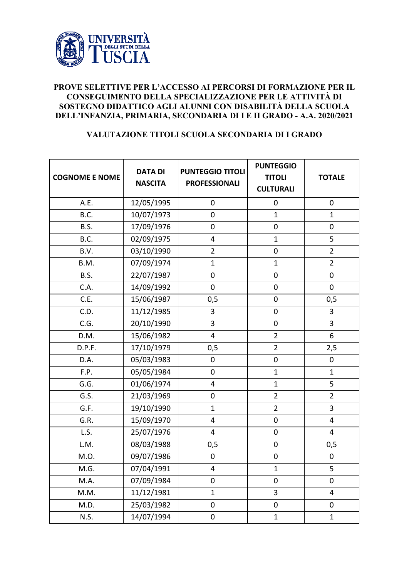

## **PROVE SELETTIVE PER L'ACCESSO AI PERCORSI DI FORMAZIONE PER IL CONSEGUIMENTO DELLA SPECIALIZZAZIONE PER LE ATTIVITÀ DI SOSTEGNO DIDATTICO AGLI ALUNNI CON DISABILITÀ DELLA SCUOLA DELL'INFANZIA, PRIMARIA, SECONDARIA DI I E II GRADO - A.A. 2020/2021**

## **VALUTAZIONE TITOLI SCUOLA SECONDARIA DI I GRADO**

| <b>COGNOME E NOME</b> | <b>DATA DI</b><br><b>NASCITA</b> | <b>PUNTEGGIO TITOLI</b><br><b>PROFESSIONALI</b> | <b>PUNTEGGIO</b><br><b>TITOLI</b><br><b>CULTURALI</b> | <b>TOTALE</b>           |
|-----------------------|----------------------------------|-------------------------------------------------|-------------------------------------------------------|-------------------------|
| A.E.                  | 12/05/1995                       | $\pmb{0}$                                       | $\mathbf 0$                                           | $\mathbf 0$             |
| B.C.                  | 10/07/1973                       | $\boldsymbol{0}$                                | $\mathbf{1}$                                          | $\mathbf{1}$            |
| B.S.                  | 17/09/1976                       | $\mathbf 0$                                     | $\mathbf 0$                                           | $\boldsymbol{0}$        |
| B.C.                  | 02/09/1975                       | 4                                               | $\mathbf{1}$                                          | 5                       |
| B.V.                  | 03/10/1990                       | $\overline{2}$                                  | $\mathbf 0$                                           | $\overline{2}$          |
| B.M.                  | 07/09/1974                       | $\mathbf{1}$                                    | $\mathbf{1}$                                          | $\overline{2}$          |
| B.S.                  | 22/07/1987                       | $\mathbf 0$                                     | $\mathbf 0$                                           | $\mathbf 0$             |
| C.A.                  | 14/09/1992                       | $\pmb{0}$                                       | $\mathbf 0$                                           | $\mathbf 0$             |
| C.E.                  | 15/06/1987                       | 0, 5                                            | $\mathbf 0$                                           | 0, 5                    |
| C.D.                  | 11/12/1985                       | 3                                               | $\mathbf 0$                                           | 3                       |
| C.G.                  | 20/10/1990                       | 3                                               | $\mathbf 0$                                           | 3                       |
| D.M.                  | 15/06/1982                       | 4                                               | $\overline{2}$                                        | 6                       |
| D.P.F.                | 17/10/1979                       | 0,5                                             | $\overline{2}$                                        | 2,5                     |
| D.A.                  | 05/03/1983                       | $\mathbf 0$                                     | $\mathbf 0$                                           | $\boldsymbol{0}$        |
| F.P.                  | 05/05/1984                       | $\mathbf 0$                                     | $\mathbf{1}$                                          | $\mathbf{1}$            |
| G.G.                  | 01/06/1974                       | $\overline{\mathbf{4}}$                         | $\mathbf{1}$                                          | 5                       |
| G.S.                  | 21/03/1969                       | $\pmb{0}$                                       | $\overline{2}$                                        | $\overline{2}$          |
| G.F.                  | 19/10/1990                       | $\mathbf{1}$                                    | $\overline{2}$                                        | 3                       |
| G.R.                  | 15/09/1970                       | 4                                               | $\mathbf 0$                                           | 4                       |
| L.S.                  | 25/07/1976                       | 4                                               | $\mathbf 0$                                           | 4                       |
| L.M.                  | 08/03/1988                       | 0,5                                             | $\pmb{0}$                                             | 0,5                     |
| M.O.                  | 09/07/1986                       | $\pmb{0}$                                       | $\boldsymbol{0}$                                      | $\mathbf 0$             |
| M.G.                  | 07/04/1991                       | 4                                               | $\mathbf{1}$                                          | 5                       |
| M.A.                  | 07/09/1984                       | $\mathbf 0$                                     | $\mathbf 0$                                           | $\mathbf 0$             |
| M.M.                  | 11/12/1981                       | $\mathbf{1}$                                    | 3                                                     | $\overline{\mathbf{4}}$ |
| M.D.                  | 25/03/1982                       | $\mathbf 0$                                     | $\pmb{0}$                                             | 0                       |
| <b>N.S.</b>           | 14/07/1994                       | $\pmb{0}$                                       | $\mathbf{1}$                                          | $\mathbf{1}$            |